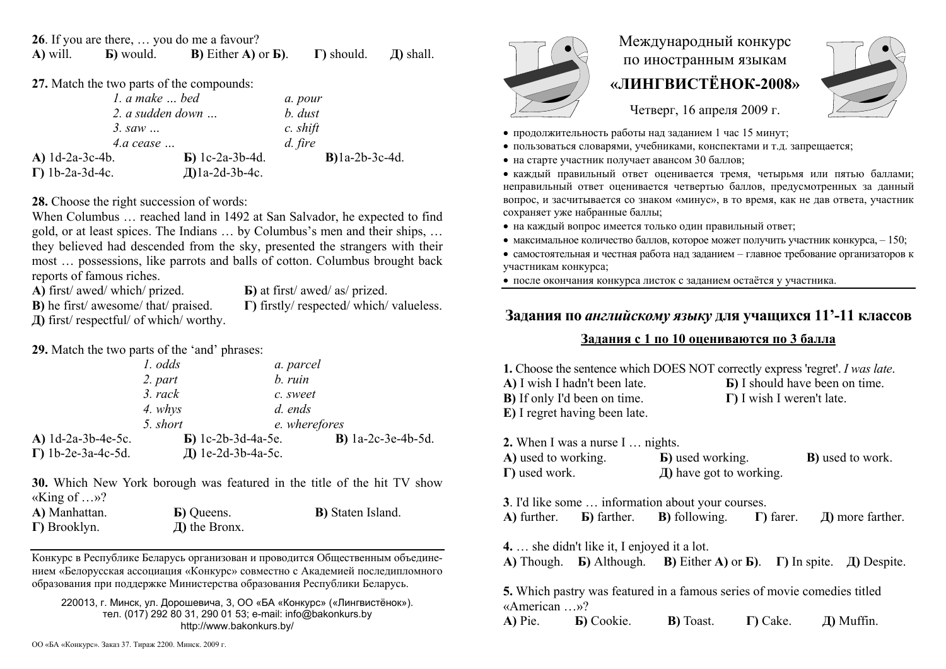**26**. If you are there, … you do me a favour? **A)** will. **Б)** would. **В)** Either **A)** or **Б)**. **Г)** should. **Д)** shall.

27. Match the two parts of the compounds:

| 1. a make  bed          |                          | a. pour           |
|-------------------------|--------------------------|-------------------|
| 2. a sudden down        |                          | b. dust           |
| 3. saw $\ldots$         |                          | c. shift          |
| $4.a \; cease \dots$    |                          | d. fire           |
| A) $1d-2a-3c-4b$ .      | $\bf{E}$ ) 1c-2a-3b-4d.  | $B$ )1a-2b-3c-4d. |
| $\Gamma$ ) 1b-2a-3d-4c. | $\text{Al}$ la-2d-3b-4c. |                   |

**28.** Choose the right succession of words:

When Columbus … reached land in 1492 at San Salvador, he expected to find gold, or at least spices. The Indians … by Columbus's men and their ships, … they believed had descended from the sky, presented the strangers with their most … possessions, like parrots and balls of cotton. Columbus brought back reports of famous riches.

**A)** first/ awed/ which/ prized.

**Б)** at first/ awed/ as/ prized. **Г)** firstly/ respected/ which/ valueless.

**В)** he first/ awesome/ that/ praised.

**Д)** first/ respectful/ of which/ worthy.

**29.** Match the two parts of the 'and' phrases:

|                            | 1. odds   | a. parcel                  |                               |
|----------------------------|-----------|----------------------------|-------------------------------|
|                            | 2. part   | b. ruin                    |                               |
|                            | $3.$ rack | c. sweet                   |                               |
|                            | 4. whys   | d. ends                    |                               |
|                            | 5. short  | e. wherefores              |                               |
| A) 1d-2a-3b-4e-5c.         |           | $\bf{E}$ ) 1c-2b-3d-4a-5e. | <b>B</b> ) $1a-2c-3e-4b-5d$ . |
| $\Gamma$ ) 1b-2e-3a-4c-5d. |           | Д) 1e-2d-3b-4a-5c.         |                               |

**30.** Which New York borough was featured in the title of the hit TV show «King of …»?

| A) Manhattan.        | <b>B</b> ) Queens. | <b>B</b> ) Staten Island. |
|----------------------|--------------------|---------------------------|
| $\Gamma$ ) Brooklyn. | $\pi$ ) the Bronx. |                           |

Конкурс <sup>в</sup> Республике Беларусь организован и проводится Общественным объединением «Белорусская ассоциация «Конкурс» совместно <sup>с</sup> Академией последипломного образования при поддержке Министерства образования Республики Беларусь.

220013, <sup>г</sup>. Минск, ул. Дорошевича, 3, ОО «БА «Конкурс» («Лингвистёнок»). тел. (017) 292 80 31, 290 01 53; e-mail: info@bakonkurs.by http://www.bakonkurs.by/

# Международный конкурс по иностранным языкам **«ЛИНГВИСТЁНОК-2008»**



Четверг, 16 апреля 2009 г.

- продолжительность работы над заданием 1 час 15 минут;
- пользоваться словарями, учебниками, конспектами и <sup>т</sup>.д. запрещается;
- на старте участник получает авансом 30 баллов;

 каждый правильный ответ оценивается тремя, четырьмя или пятью баллами; неправильный ответ оценивается четвертью баллов, предусмотренных за данный вопрос, <sup>и</sup> засчитывается со знаком «минус», <sup>в</sup> то время, как не дав ответа, участник сохраняет уже набранные баллы;

- на каждый вопрос имеется только один правильный ответ;
- максимальное количество баллов, которое может получить участник конкурса,  $-150$ ;

• самостоятельная и честная работа над заданием - главное требование организаторов к участникам конкурса;

после окончания конкурса листок <sup>с</sup> заданием остаётся у участника.

# **Задания по** *английскому языку* **для учащихся 11'-11 классов**

## **Задания <sup>с</sup> 1 по 10 оцениваются по 3 балла**

**1.** Choose the sentence which DOES NOT correctly express 'regret'. *I was late*. **А)** I wish I hadn't been late. **G**) I should have been on time. **В)** If only I'd been on time. **Г)** I wish I weren't late. **E)** I regret having been late. **2.** When I was a nurse I … nights. **A)** used to working. **Б)** used working. **B**) used to work **Г)** used work.

**Д)** have got to working.

**3**. I'd like some … information about your courses. **A)** further. **Б)** farther. **В)** following. **Г)** farer. **Д)** more farther.

**4.** … she didn't like it, I enjoyed it a lot.

**A)** Though. **Б)** Although. **В)** Either **A)** or **Б)**. **Г)** In spite. **Д)** Despite.

**5.** Which pastry was featured in a famous series of movie comedies titled «American …»?

**A)** Pie. **Б)** Cookie. **В)** Toast. **Г)** Cake. **Д)** Muffin.